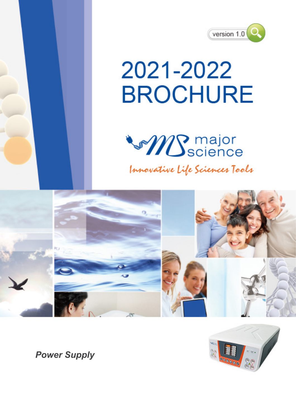

# 2021-2022 **BROCHURE**



Innovative Life Sciences Tools





*Power Supply*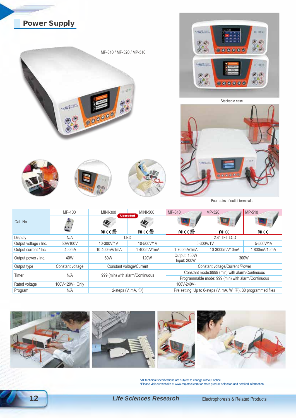



\*All technical specifications are subject to change without notice. \*Please visit our website at www.majorsci.com for more product selection and detailed information.

12 *Life Sciences Research*